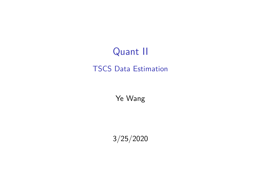# Quant II

#### TSCS Data Estimation

Ye Wang

3/25/2020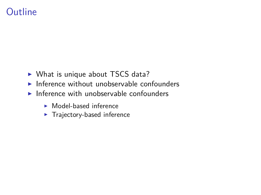# Outline

- $\triangleright$  What is unique about TSCS data?
- $\blacktriangleright$  Inference without unobservable confounders
- $\blacktriangleright$  Inference with unobservable confounders
	- $\blacktriangleright$  Model-based inference
	- $\blacktriangleright$  Trajectory-based inference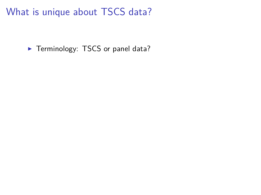$\blacktriangleright$  Terminology: TSCS or panel data?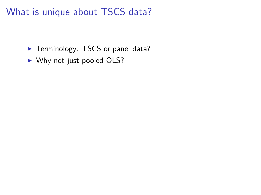- Terminology: TSCS or panel data?
- $\triangleright$  Why not just pooled OLS?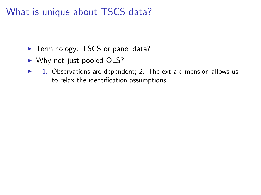- $\blacktriangleright$  Terminology: TSCS or panel data?
- $\triangleright$  Why not just pooled OLS?
- $\triangleright$  1. Observations are dependent; 2. The extra dimension allows us to relax the identification assumptions.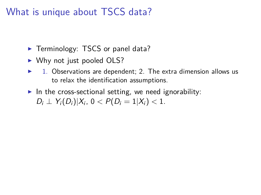- $\blacktriangleright$  Terminology: TSCS or panel data?
- $\blacktriangleright$  Why not just pooled OLS?
- 1. Observations are dependent; 2. The extra dimension allows us to relax the identification assumptions.
- In the cross-sectional setting, we need ignorability:  $D_i \perp Y_i(D_i)|X_i, 0 < P(D_i = 1|X_i) < 1.$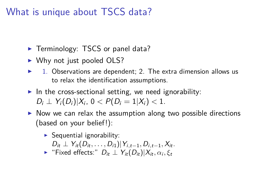- $\blacktriangleright$  Terminology: TSCS or panel data?
- $\blacktriangleright$  Why not just pooled OLS?
- 1. Observations are dependent; 2. The extra dimension allows us to relax the identification assumptions.
- In the cross-sectional setting, we need ignorability:  $D_i \perp Y_i(D_i)|X_i, 0 < P(D_i = 1|X_i) < 1.$
- $\triangleright$  Now we can relax the assumption along two possible directions (based on your belief!):
	- $\triangleright$  Sequential ignorability:
		- $D_{it} \perp Y_{it}(D_{it}, \ldots, D_{i1}) | Y_{i,t-1}, D_{i,t-1}, X_{it}.$
	- $\blacktriangleright$  "Fixed effects:"  $D_{it} \perp Y_{it}(D_{it}) | X_{it}, \alpha_i, \xi_t$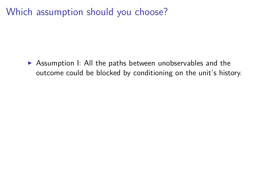$\triangleright$  Assumption I: All the paths between unobservables and the outcome could be blocked by conditioning on the unit's history.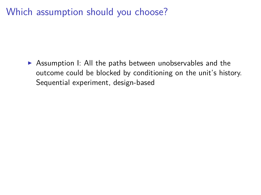$\triangleright$  Assumption I: All the paths between unobservables and the outcome could be blocked by conditioning on the unit's history. Sequential experiment, design-based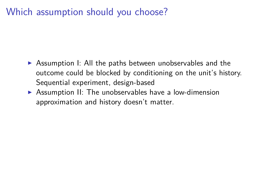- $\triangleright$  Assumption I: All the paths between unobservables and the outcome could be blocked by conditioning on the unit's history. Sequential experiment, design-based
- $\triangleright$  Assumption II: The unobservables have a low-dimension approximation and history doesn't matter.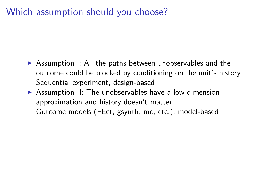- $\triangleright$  Assumption I: All the paths between unobservables and the outcome could be blocked by conditioning on the unit's history. Sequential experiment, design-based
- $\triangleright$  Assumption II: The unobservables have a low-dimension approximation and history doesn't matter. Outcome models (FEct, gsynth, mc, etc.), model-based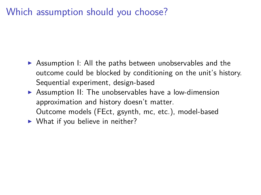- $\triangleright$  Assumption I: All the paths between unobservables and the outcome could be blocked by conditioning on the unit's history. Sequential experiment, design-based
- $\triangleright$  Assumption II: The unobservables have a low-dimension approximation and history doesn't matter. Outcome models (FEct, gsynth, mc, etc.), model-based

 $\triangleright$  What if you believe in neither?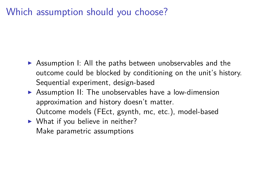- $\triangleright$  Assumption I: All the paths between unobservables and the outcome could be blocked by conditioning on the unit's history. Sequential experiment, design-based
- $\triangleright$  Assumption II: The unobservables have a low-dimension approximation and history doesn't matter. Outcome models (FEct, gsynth, mc, etc.), model-based
- $\triangleright$  What if you believe in neither? Make parametric assumptions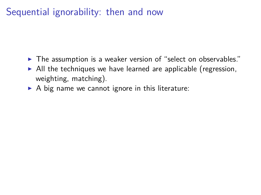- $\blacktriangleright$  The assumption is a weaker version of "select on observables."
- $\triangleright$  All the techniques we have learned are applicable (regression, weighting, matching).
- $\triangleright$  A big name we cannot ignore in this literature: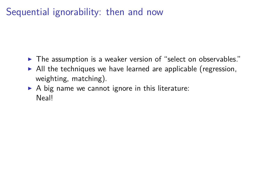- $\blacktriangleright$  The assumption is a weaker version of "select on observables."
- $\triangleright$  All the techniques we have learned are applicable (regression, weighting, matching).
- $\triangleright$  A big name we cannot ignore in this literature: Neal!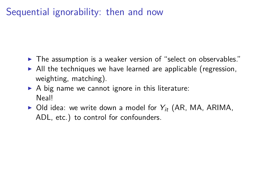- $\blacktriangleright$  The assumption is a weaker version of "select on observables."
- $\triangleright$  All the techniques we have learned are applicable (regression, weighting, matching).
- $\triangleright$  A big name we cannot ignore in this literature: Neal!
- $\triangleright$  Old idea: we write down a model for  $Y_{it}$  (AR, MA, ARIMA, ADL, etc.) to control for confounders.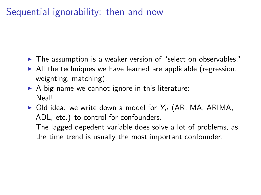- $\blacktriangleright$  The assumption is a weaker version of "select on observables."
- $\triangleright$  All the techniques we have learned are applicable (regression, weighting, matching).
- $\triangleright$  A big name we cannot ignore in this literature: Neal!
- $\triangleright$  Old idea: we write down a model for  $Y_{it}$  (AR, MA, ARIMA, ADL, etc.) to control for confounders.

The lagged depedent variable does solve a lot of problems, as the time trend is usually the most important confounder.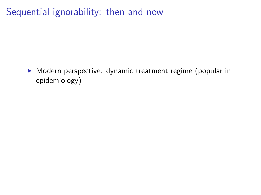$\triangleright$  Modern perspective: dynamic treatment regime (popular in epidemiology)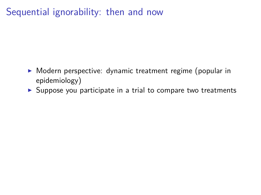- $\triangleright$  Modern perspective: dynamic treatment regime (popular in epidemiology)
- $\triangleright$  Suppose you participate in a trial to compare two treatments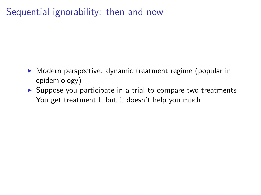- $\triangleright$  Modern perspective: dynamic treatment regime (popular in epidemiology)
- $\triangleright$  Suppose you participate in a trial to compare two treatments You get treatment I, but it doesn't help you much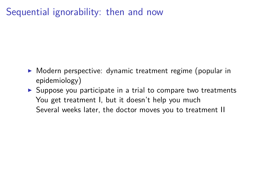- $\triangleright$  Modern perspective: dynamic treatment regime (popular in epidemiology)
- $\triangleright$  Suppose you participate in a trial to compare two treatments You get treatment I, but it doesn't help you much Several weeks later, the doctor moves you to treatment II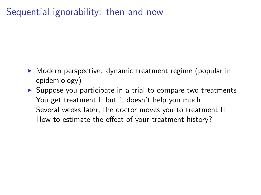- $\triangleright$  Modern perspective: dynamic treatment regime (popular in epidemiology)
- $\triangleright$  Suppose you participate in a trial to compare two treatments You get treatment I, but it doesn't help you much Several weeks later, the doctor moves you to treatment II How to estimate the effect of your treatment history?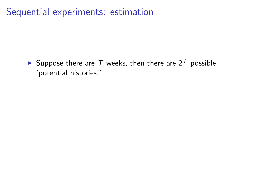Suppose there are T weeks, then there are  $2^T$  possible "potential histories."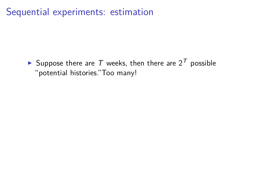Suppose there are T weeks, then there are  $2^T$  possible "potential histories."Too many!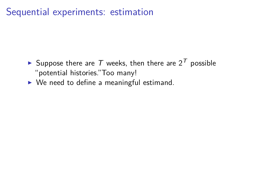- Suppose there are T weeks, then there are  $2^{T}$  possible "potential histories."Too many!
- $\triangleright$  We need to define a meaningful estimand.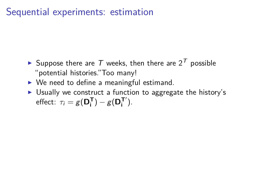- Suppose there are T weeks, then there are  $2^T$  possible "potential histories."Too many!
- $\triangleright$  We need to define a meaningful estimand.
- $\triangleright$  Usually we construct a function to aggregate the history's effect:  $\tau_i = g(\mathbf{D_i^T}) - g(\mathbf{D_i^T}')$ .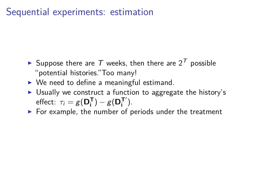- Suppose there are T weeks, then there are  $2^{T}$  possible "potential histories."Too many!
- $\triangleright$  We need to define a meaningful estimand.
- $\triangleright$  Usually we construct a function to aggregate the history's effect:  $\tau_i = g(\mathbf{D_i^T}) - g(\mathbf{D_i^T}')$ .
- $\triangleright$  For example, the number of periods under the treatment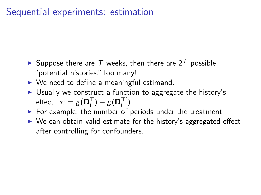- Suppose there are T weeks, then there are  $2^{T}$  possible "potential histories."Too many!
- $\triangleright$  We need to define a meaningful estimand.
- $\triangleright$  Usually we construct a function to aggregate the history's effect:  $\tau_i = g(\mathbf{D_i^T}) - g(\mathbf{D_i^T}')$ .
- $\triangleright$  For example, the number of periods under the treatment
- $\triangleright$  We can obtain valid estimate for the history's aggregated effect after controlling for confounders.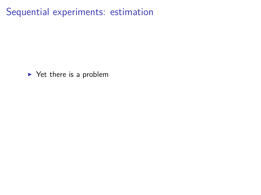$\blacktriangleright$  Yet there is a problem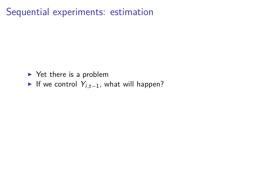- $\blacktriangleright$  Yet there is a problem
- If we control  $Y_{i,t-1}$ , what will happen?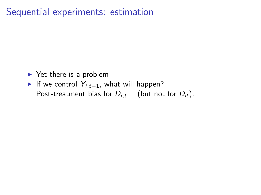- $\blacktriangleright$  Yet there is a problem
- **►** If we control  $Y_{i,t-1}$ , what will happen? Post-treatment bias for  $D_{i,t-1}$  (but not for  $D_{it}$ ).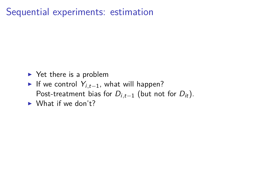- $\blacktriangleright$  Yet there is a problem
- If we control  $Y_{i,t-1}$ , what will happen? Post-treatment bias for  $D_{i,t-1}$  (but not for  $D_{it}$ ).
- $\blacktriangleright$  What if we don't?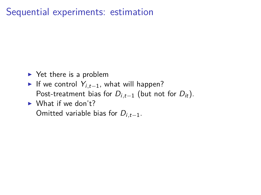- $\blacktriangleright$  Yet there is a problem
- If we control  $Y_{i,t-1}$ , what will happen? Post-treatment bias for  $D_{i,t-1}$  (but not for  $D_{it}$ ).
- $\blacktriangleright$  What if we don't? Omitted variable bias for Di*,*t−1.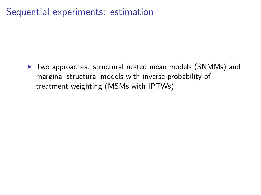$\triangleright$  Two approaches: structural nested mean models (SNMMs) and marginal structural models with inverse probability of treatment weighting (MSMs with IPTWs)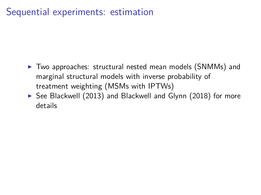- $\triangleright$  Two approaches: structural nested mean models (SNMMs) and marginal structural models with inverse probability of treatment weighting (MSMs with IPTWs)
- $\triangleright$  See Blackwell (2013) and Blackwell and Glynn (2018) for more details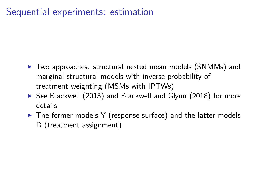- $\triangleright$  Two approaches: structural nested mean models (SNMMs) and marginal structural models with inverse probability of treatment weighting (MSMs with IPTWs)
- $\triangleright$  See Blackwell (2013) and Blackwell and Glynn (2018) for more details
- $\triangleright$  The former models Y (response surface) and the latter models D (treatment assignment)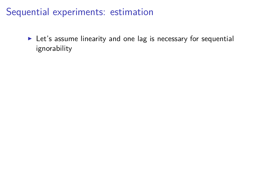$\blacktriangleright$  Let's assume linearity and one lag is necessary for sequential ignorability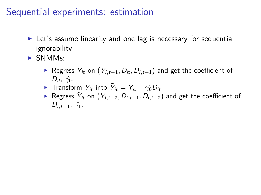- $\triangleright$  Let's assume linearity and one lag is necessary for sequential ignorability
- $\triangleright$  SNMMs:
	- <sup>I</sup> Regress Yit on (Yi*,*t−1*,* Dit*,* Di*,*t−1) and get the coefficient of  $D_{it}$ ,  $\hat{\gamma}_0$ .
	- **F** Transform  $Y_{it}$  into  $\tilde{Y}_{it} = Y_{it} \hat{\gamma_0} D_{it}$
	- ► Regress  $\tilde{Y}_{it}$  on  $(Y_{i,t-2}, D_{i,t-1}, D_{i,t-2})$  and get the coefficient of  $D_{i,t-1}, \hat{\gamma_1}.$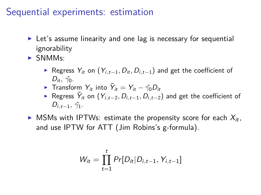- $\blacktriangleright$  Let's assume linearity and one lag is necessary for sequential ignorability
- $\triangleright$  SNMMs:
	- <sup>I</sup> Regress Yit on (Yi*,*t−1*,* Dit*,* Di*,*t−1) and get the coefficient of  $D_{it}$ ,  $\hat{\gamma}_0$ .
	- **F** Transform  $Y_{it}$  into  $\tilde{Y}_{it} = Y_{it} \hat{\gamma_0} D_{it}$
	- ► Regress  $\tilde{Y}_{it}$  on  $(Y_{i,t-2}, D_{i,t-1}, D_{i,t-2})$  and get the coefficient of  $D_{i,t-1}, \hat{\gamma_1}.$
- $\triangleright$  MSMs with IPTWs: estimate the propensity score for each  $X_{it}$ , and use IPTW for ATT (Jim Robins's g-formula).

$$
W_{it} = \prod_{t=1}^{t} Pr[D_{it} | D_{i,t-1}, Y_{i,t-1}]
$$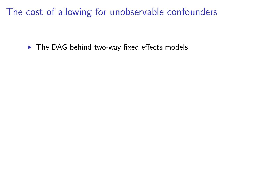$\blacktriangleright$  The DAG behind two-way fixed effects models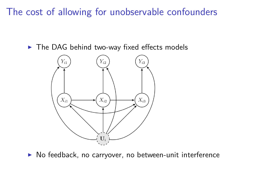$\triangleright$  The DAG behind two-way fixed effects models



 $\triangleright$  No feedback, no carryover, no between-unit interference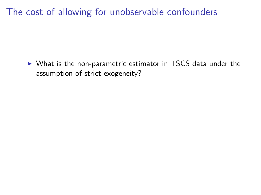$\triangleright$  What is the non-parametric estimator in TSCS data under the assumption of strict exogeneity?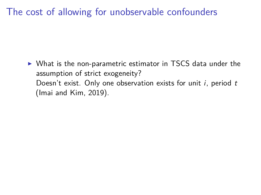$\triangleright$  What is the non-parametric estimator in TSCS data under the assumption of strict exogeneity? Doesn't exist. Only one observation exists for unit  $i$ , period  $t$ (Imai and Kim, 2019).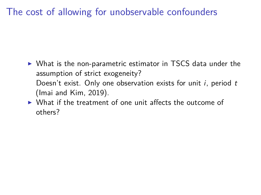- $\triangleright$  What is the non-parametric estimator in TSCS data under the assumption of strict exogeneity? Doesn't exist. Only one observation exists for unit  $i$ , period  $t$ (Imai and Kim, 2019).
- $\triangleright$  What if the treatment of one unit affects the outcome of others?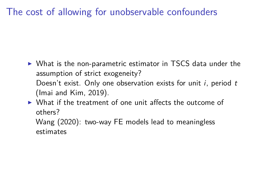- $\triangleright$  What is the non-parametric estimator in TSCS data under the assumption of strict exogeneity? Doesn't exist. Only one observation exists for unit  $i$ , period  $t$ (Imai and Kim, 2019).
- $\triangleright$  What if the treatment of one unit affects the outcome of others?

Wang (2020): two-way FE models lead to meaningless estimates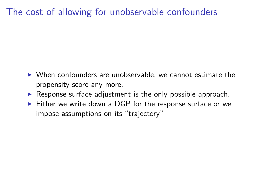- $\triangleright$  When confounders are unobservable, we cannot estimate the propensity score any more.
- $\triangleright$  Response surface adjustment is the only possible approach.
- $\triangleright$  Either we write down a DGP for the response surface or we impose assumptions on its "trajectory"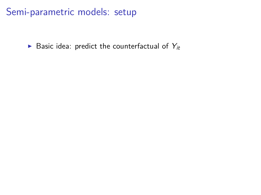Basic idea: predict the counterfactual of  $Y_{it}$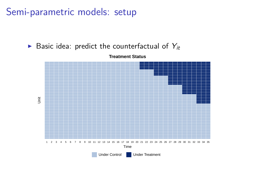Basic idea: predict the counterfactual of  $Y_{it}$ 

**Treatment Status**

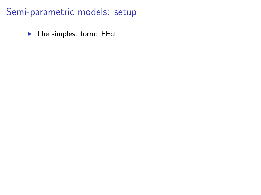$\blacktriangleright$  The simplest form: FEct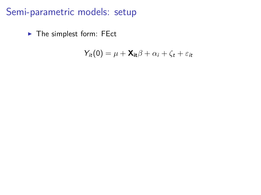$\blacktriangleright$  The simplest form: FEct

$$
Y_{it}(0) = \mu + \mathbf{X}_{it} \beta + \alpha_i + \zeta_t + \varepsilon_{it}
$$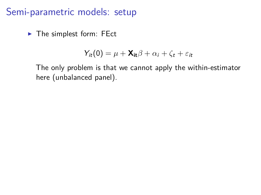$\blacktriangleright$  The simplest form: FEct

$$
Y_{it}(0) = \mu + \mathbf{X_{it}}\beta + \alpha_i + \zeta_t + \varepsilon_{it}
$$

The only problem is that we cannot apply the within-estimator here (unbalanced panel).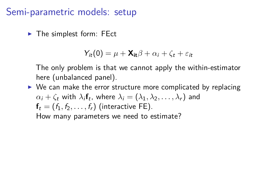$\blacktriangleright$  The simplest form: FEct

$$
Y_{it}(0) = \mu + \mathbf{X_{it}}\beta + \alpha_i + \zeta_t + \varepsilon_{it}
$$

The only problem is that we cannot apply the within-estimator here (unbalanced panel).

 $\triangleright$  We can make the error structure more complicated by replacing  $\alpha_i + \zeta_t$  with  $\lambda_i$ f<sub>t</sub>, where  $\lambda_i = (\lambda_1, \lambda_2, \dots, \lambda_r)$  and  $f_t = (f_1, f_2, \ldots, f_r)$  (interactive FE). How many parameters we need to estimate?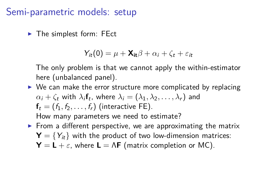$\blacktriangleright$  The simplest form: FEct

$$
Y_{it}(0) = \mu + \mathbf{X_{it}}\beta + \alpha_i + \zeta_t + \varepsilon_{it}
$$

The only problem is that we cannot apply the within-estimator here (unbalanced panel).

- $\triangleright$  We can make the error structure more complicated by replacing  $\alpha_i + \zeta_t$  with  $\lambda_i$ f<sub>t</sub>, where  $\lambda_i = (\lambda_1, \lambda_2, \dots, \lambda_r)$  and  $f_t = (f_1, f_2, \ldots, f_r)$  (interactive FE). How many parameters we need to estimate?
- $\triangleright$  From a different perspective, we are approximating the matrix  $\mathbf{Y} = \{Y_{it}\}\$  with the product of two low-dimension matrices:  $Y = L + \varepsilon$ , where  $L = \Lambda F$  (matrix completion or MC).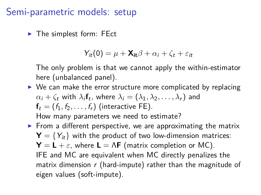$\blacktriangleright$  The simplest form: FEct

$$
Y_{it}(0) = \mu + \mathbf{X_{it}}\beta + \alpha_i + \zeta_t + \varepsilon_{it}
$$

The only problem is that we cannot apply the within-estimator here (unbalanced panel).

- $\triangleright$  We can make the error structure more complicated by replacing  $\alpha_i + \zeta_t$  with  $\lambda_i$ f<sub>t</sub>, where  $\lambda_i = (\lambda_1, \lambda_2, \dots, \lambda_r)$  and  $f_t = (f_1, f_2, \ldots, f_r)$  (interactive FE). How many parameters we need to estimate?
- $\triangleright$  From a different perspective, we are approximating the matrix  $\mathbf{Y} = \{Y_{it}\}\$  with the product of two low-dimension matrices:  $Y = L + \varepsilon$ , where  $L = \Lambda F$  (matrix completion or MC). IFE and MC are equivalent when MC directly penalizes the matrix dimension  $r$  (hard-impute) rather than the magnitude of eigen values (soft-impute).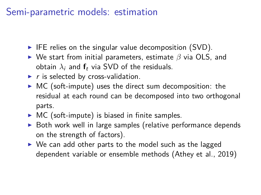## Semi-parametric models: estimation

- $\blacktriangleright$  IFE relies on the singular value decomposition (SVD).
- $▶$  We start from initial parameters, estimate  $β$  via OLS, and obtain  $\lambda_i$  and  $f_t$  via SVD of the residuals.
- $\blacktriangleright$  r is selected by cross-validation.
- $\triangleright$  MC (soft-impute) uses the direct sum decomposition: the residual at each round can be decomposed into two orthogonal parts.
- $\triangleright$  MC (soft-impute) is biased in finite samples.
- $\triangleright$  Both work well in large samples (relative performance depends on the strength of factors).
- $\triangleright$  We can add other parts to the model such as the lagged dependent variable or ensemble methods (Athey et al., 2019)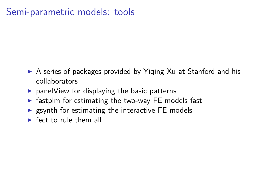# Semi-parametric models: tools

- $\triangleright$  A series of packages provided by Yiqing Xu at Stanford and his collaborators
- $\triangleright$  panelView for displaying the basic patterns
- $\triangleright$  fastplm for estimating the two-way FE models fast
- $\triangleright$  gsynth for estimating the interactive FE models
- $\blacktriangleright$  fect to rule them all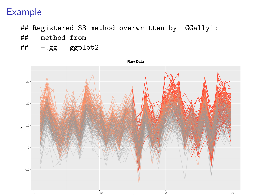- ## Registered S3 method overwritten by 'GGally':
- ## method from
- ## +.gg ggplot2

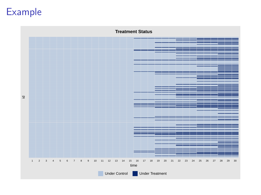

 $\overline{2}$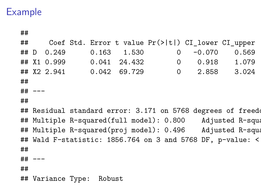##

## Coef Std. Error t value Pr(>|t|) CI\_lower CI\_upper ## D 0.249 0.163 1.530 0 -0.070 0.569 ## X1 0.999 0.041 24.432 0 0.918 1.079 ## X2 2.941 0.042 69.729 0 2.858 3.024 ## ## --- ## ## Residual standard error: 3.171 on 5768 degrees of freed ## Multiple R-squared(full model): 0.800 Adjusted R-squa ## Multiple R-squared(proj model): 0.496 Adjusted R-squa ## Wald F-statistic:  $1856.764$  on 3 and  $5768$  DF, p-value: < ## ## --- ## ## Variance Type: Robust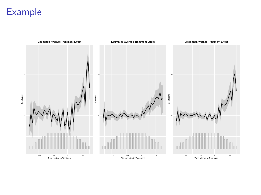**Estimated Average Treatment Effect Estimated Average Treatment Effect Estimated Average Treatment Effect**5 5 Coefficient Coefficient Coefficient Coofficien Coefficient **South** −20 −10 0 10 Time relative to Treatment −20 −10 0 10 Time relative to Treatment −20 −10 0 10<br>Time relative to Treatment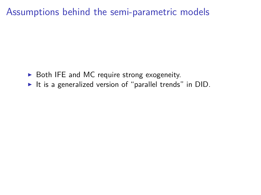Assumptions behind the semi-parametric models

- $\triangleright$  Both IFE and MC require strong exogeneity.
- It is a generalized version of "parallel trends" in  $DID$ .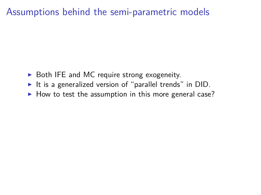#### Assumptions behind the semi-parametric models

- $\triangleright$  Both IFE and MC require strong exogeneity.
- It is a generalized version of "parallel trends" in  $DID$ .
- $\blacktriangleright$  How to test the assumption in this more general case?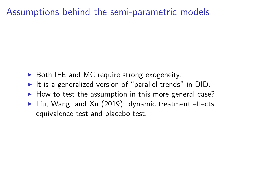#### Assumptions behind the semi-parametric models

- $\triangleright$  Both IFE and MC require strong exogeneity.
- It is a generalized version of "parallel trends" in  $DID$ .
- $\blacktriangleright$  How to test the assumption in this more general case?
- I Liu, Wang, and Xu (2019): dynamic treatment effects, equivalence test and placebo test.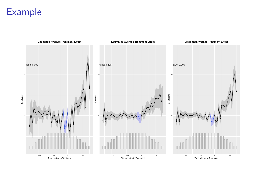**Estimated Average Treatment Effect Estimated Average Treatment Effect Estimated Average Treatment Effect**p value: 0.000 p value: 0.000 able 0.220<br>
p<br>
p<br>
p<br>
p<br>
p<br>  $\sqrt{p}$ 5 5 Coefficient Coefficient Coefficient Coefficient Coofficien ● ● ● ● ● ● ● ● ●  $\bullet$ ● ● ● ● ● ● ● ● ● ● ● ● −20 −10 0 10 Time relative to Treatment −20 −10 0 10 Time relative to Treatment −20 −10 0 10<br>Time relative to Treatment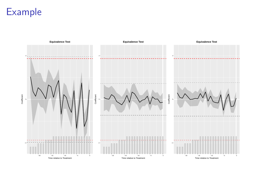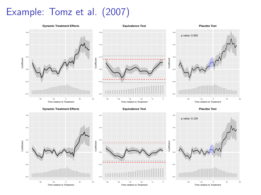# Example: Tomz et al. (2007)

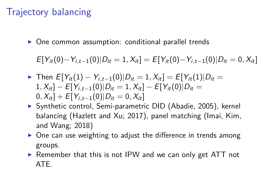# Trajectory balancing

One common assumption: conditional parallel trends

 $E[Y_{it}(0)-Y_{i,t-1}(0)|D_{it}=1, X_{it}] = E[Y_{it}(0)-Y_{i,t-1}(0)|D_{it}=0, X_{it}]$ 

- $\triangleright$  Then  $E[Y_{it}(1) Y_{i,t-1}(0)|D_{it} = 1, X_{it}] = E[Y_{it}(1)|D_{it} = 1]$  $1, X_{it}$ ] − E[Y<sub>i,t−1</sub>(0)|D<sub>it</sub> = 1*, X<sub>it</sub>*] − E[Y<sub>it</sub>(0)|D<sub>it</sub> =  $[0, X_{it}] + E[Y_{i,t-1}(0)|D_{it} = 0, X_{it}]$
- ▶ Synthetic control, Semi-parametric DID (Abadie, 2005), kernel balancing (Hazlett and Xu; 2017), panel matching (Imai, Kim, and Wang; 2018)
- $\triangleright$  One can use weighting to adjust the difference in trends among groups.
- $\triangleright$  Remember that this is not IPW and we can only get ATT not ATE.